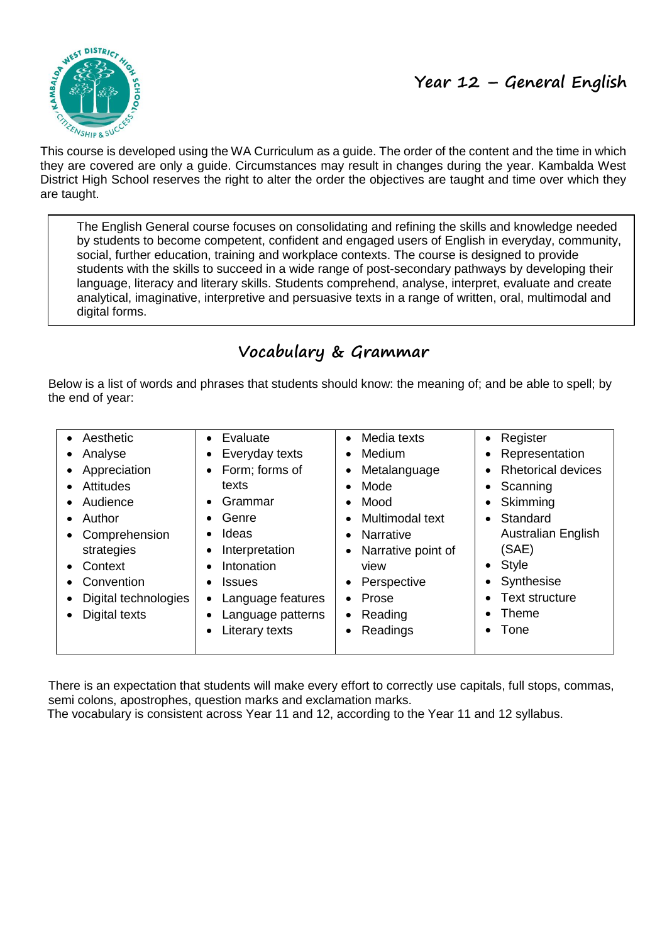

This course is developed using the WA Curriculum as a guide. The order of the content and the time in which they are covered are only a guide. Circumstances may result in changes during the year. Kambalda West District High School reserves the right to alter the order the objectives are taught and time over which they are taught.

The English General course focuses on consolidating and refining the skills and knowledge needed by students to become competent, confident and engaged users of English in everyday, community, social, further education, training and workplace contexts. The course is designed to provide students with the skills to succeed in a wide range of post-secondary pathways by developing their language, literacy and literary skills. Students comprehend, analyse, interpret, evaluate and create analytical, imaginative, interpretive and persuasive texts in a range of written, oral, multimodal and digital forms.

# **Vocabulary & Grammar**

Below is a list of words and phrases that students should know: the meaning of; and be able to spell; by the end of year:

| • Aesthetic<br>Analyse<br>Appreciation<br><b>Attitudes</b><br>Audience<br>Author<br>Comprehension<br>strategies<br>Context<br>Convention<br>Digital technologies<br>Digital texts | Evaluate<br>Everyday texts<br>Form; forms of<br>texts<br>Grammar<br>Genre<br>Ideas<br>Interpretation<br>Intonation<br><b>Issues</b><br>Language features<br>Language patterns<br>Literary texts | Media texts<br>Medium<br>Metalanguage<br>Mode<br>Mood<br>Multimodal text<br><b>Narrative</b><br>Narrative point of<br>view<br>Perspective<br>Prose<br>Reading<br>Readings | Register<br>$\bullet$<br>Representation<br>$\bullet$<br><b>Rhetorical devices</b><br>Scanning<br>$\bullet$<br>Skimming<br>٠<br>Standard<br>$\bullet$<br><b>Australian English</b><br>(SAE)<br>Style<br>$\bullet$<br>Synthesise<br><b>Text structure</b><br>Theme<br>Tone |
|-----------------------------------------------------------------------------------------------------------------------------------------------------------------------------------|-------------------------------------------------------------------------------------------------------------------------------------------------------------------------------------------------|---------------------------------------------------------------------------------------------------------------------------------------------------------------------------|--------------------------------------------------------------------------------------------------------------------------------------------------------------------------------------------------------------------------------------------------------------------------|
|-----------------------------------------------------------------------------------------------------------------------------------------------------------------------------------|-------------------------------------------------------------------------------------------------------------------------------------------------------------------------------------------------|---------------------------------------------------------------------------------------------------------------------------------------------------------------------------|--------------------------------------------------------------------------------------------------------------------------------------------------------------------------------------------------------------------------------------------------------------------------|

There is an expectation that students will make every effort to correctly use capitals, full stops, commas, semi colons, apostrophes, question marks and exclamation marks.

The vocabulary is consistent across Year 11 and 12, according to the Year 11 and 12 syllabus.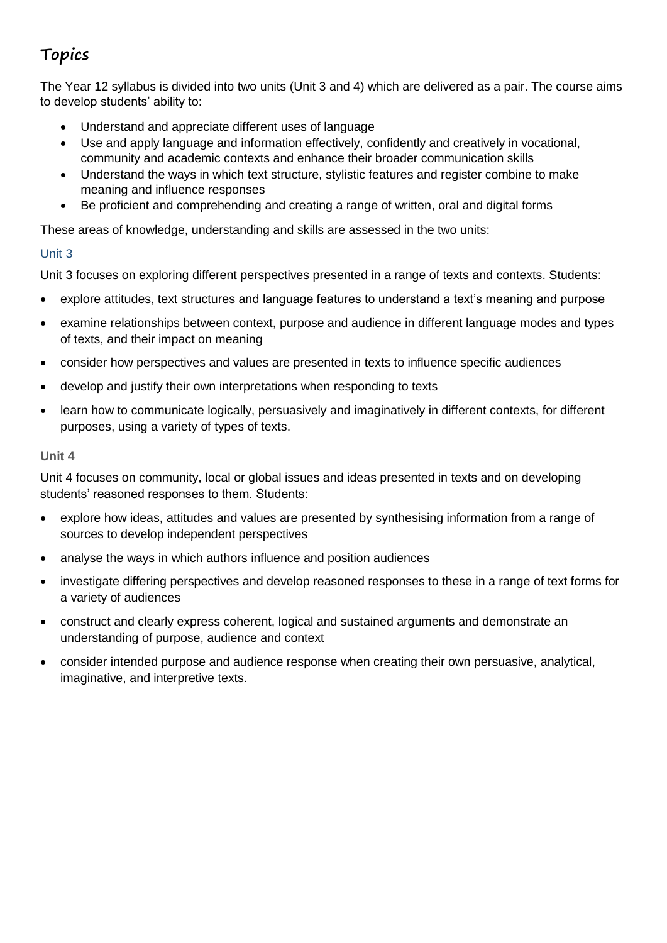# **Topics**

The Year 12 syllabus is divided into two units (Unit 3 and 4) which are delivered as a pair. The course aims to develop students' ability to:

- Understand and appreciate different uses of language
- Use and apply language and information effectively, confidently and creatively in vocational, community and academic contexts and enhance their broader communication skills
- Understand the ways in which text structure, stylistic features and register combine to make meaning and influence responses
- Be proficient and comprehending and creating a range of written, oral and digital forms

These areas of knowledge, understanding and skills are assessed in the two units:

### Unit 3

Unit 3 focuses on exploring different perspectives presented in a range of texts and contexts. Students:

- explore attitudes, text structures and language features to understand a text's meaning and purpose
- examine relationships between context, purpose and audience in different language modes and types of texts, and their impact on meaning
- consider how perspectives and values are presented in texts to influence specific audiences
- develop and justify their own interpretations when responding to texts
- learn how to communicate logically, persuasively and imaginatively in different contexts, for different purposes, using a variety of types of texts.

#### **Unit 4**

Unit 4 focuses on community, local or global issues and ideas presented in texts and on developing students' reasoned responses to them. Students:

- explore how ideas, attitudes and values are presented by synthesising information from a range of sources to develop independent perspectives
- analyse the ways in which authors influence and position audiences
- investigate differing perspectives and develop reasoned responses to these in a range of text forms for a variety of audiences
- construct and clearly express coherent, logical and sustained arguments and demonstrate an understanding of purpose, audience and context
- consider intended purpose and audience response when creating their own persuasive, analytical, imaginative, and interpretive texts.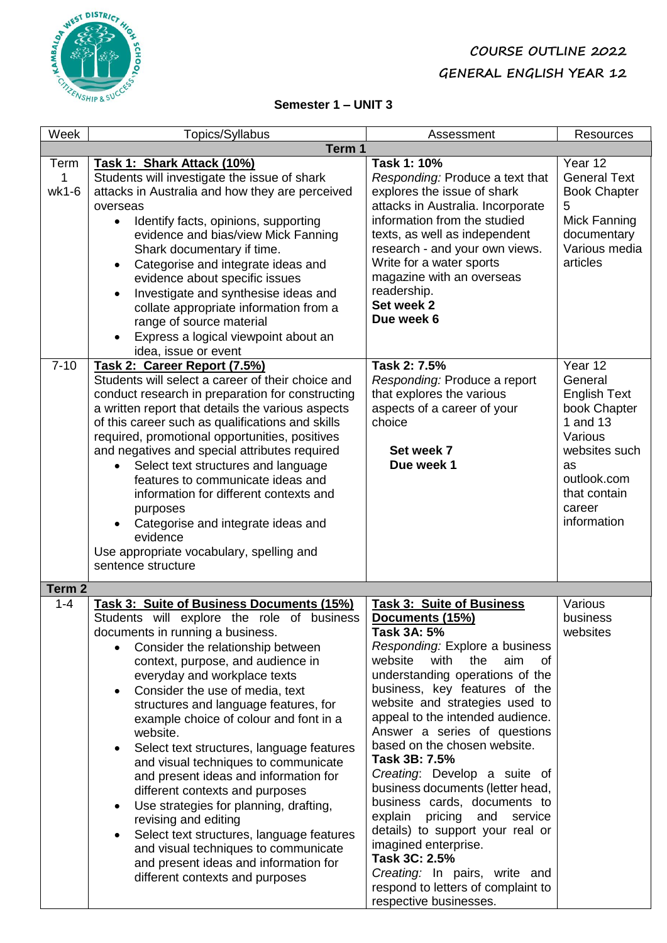## **COURSE OUTLINE 2022 GENERAL ENGLISH YEAR 12**



### **Semester 1 – UNIT 3**

| Week               | Topics/Syllabus                                                                                                                                                                                                                                                                                                                                                                                                                                                                                                                                                                                                                                                                                                                                                                                            | Assessment                                                                                                                                                                                                                                                                                                                                                                                                                                                                                                                                                                                                                                                                                       | <b>Resources</b>                                                                                                                                                |  |  |
|--------------------|------------------------------------------------------------------------------------------------------------------------------------------------------------------------------------------------------------------------------------------------------------------------------------------------------------------------------------------------------------------------------------------------------------------------------------------------------------------------------------------------------------------------------------------------------------------------------------------------------------------------------------------------------------------------------------------------------------------------------------------------------------------------------------------------------------|--------------------------------------------------------------------------------------------------------------------------------------------------------------------------------------------------------------------------------------------------------------------------------------------------------------------------------------------------------------------------------------------------------------------------------------------------------------------------------------------------------------------------------------------------------------------------------------------------------------------------------------------------------------------------------------------------|-----------------------------------------------------------------------------------------------------------------------------------------------------------------|--|--|
|                    | Term 1                                                                                                                                                                                                                                                                                                                                                                                                                                                                                                                                                                                                                                                                                                                                                                                                     |                                                                                                                                                                                                                                                                                                                                                                                                                                                                                                                                                                                                                                                                                                  |                                                                                                                                                                 |  |  |
| Term<br>1<br>wk1-6 | Task 1: Shark Attack (10%)<br>Students will investigate the issue of shark<br>attacks in Australia and how they are perceived<br>overseas<br>Identify facts, opinions, supporting<br>$\bullet$<br>evidence and bias/view Mick Fanning<br>Shark documentary if time.<br>Categorise and integrate ideas and<br>$\bullet$<br>evidence about specific issues<br>Investigate and synthesise ideas and<br>$\bullet$<br>collate appropriate information from a<br>range of source material<br>Express a logical viewpoint about an<br>idea, issue or event                                                                                                                                                                                                                                                        | Task 1: 10%<br>Responding: Produce a text that<br>explores the issue of shark<br>attacks in Australia. Incorporate<br>information from the studied<br>texts, as well as independent<br>research - and your own views.<br>Write for a water sports<br>magazine with an overseas<br>readership.<br>Set week 2<br>Due week 6                                                                                                                                                                                                                                                                                                                                                                        | Year 12<br><b>General Text</b><br><b>Book Chapter</b><br>5<br>Mick Fanning<br>documentary<br>Various media<br>articles                                          |  |  |
| $7 - 10$           | Task 2: Career Report (7.5%)<br>Students will select a career of their choice and<br>conduct research in preparation for constructing<br>a written report that details the various aspects<br>of this career such as qualifications and skills<br>required, promotional opportunities, positives<br>and negatives and special attributes required<br>Select text structures and language<br>features to communicate ideas and<br>information for different contexts and<br>purposes<br>Categorise and integrate ideas and<br>evidence<br>Use appropriate vocabulary, spelling and<br>sentence structure                                                                                                                                                                                                    | Task 2: 7.5%<br>Responding: Produce a report<br>that explores the various<br>aspects of a career of your<br>choice<br>Set week 7<br>Due week 1                                                                                                                                                                                                                                                                                                                                                                                                                                                                                                                                                   | Year 12<br>General<br><b>English Text</b><br>book Chapter<br>1 and 13<br>Various<br>websites such<br>as<br>outlook.com<br>that contain<br>career<br>information |  |  |
| Term <sub>2</sub>  |                                                                                                                                                                                                                                                                                                                                                                                                                                                                                                                                                                                                                                                                                                                                                                                                            |                                                                                                                                                                                                                                                                                                                                                                                                                                                                                                                                                                                                                                                                                                  |                                                                                                                                                                 |  |  |
| $1 - 4$            | Task 3: Suite of Business Documents (15%)<br>Students will explore the role of business<br>documents in running a business.<br>Consider the relationship between<br>context, purpose, and audience in<br>everyday and workplace texts<br>Consider the use of media, text<br>$\bullet$<br>structures and language features, for<br>example choice of colour and font in a<br>website.<br>Select text structures, language features<br>٠<br>and visual techniques to communicate<br>and present ideas and information for<br>different contexts and purposes<br>Use strategies for planning, drafting,<br>$\bullet$<br>revising and editing<br>Select text structures, language features<br>and visual techniques to communicate<br>and present ideas and information for<br>different contexts and purposes | <b>Task 3: Suite of Business</b><br>Documents (15%)<br>Task 3A: 5%<br>Responding: Explore a business<br>website<br>with<br>aim<br>the<br>0f<br>understanding operations of the<br>business, key features of the<br>website and strategies used to<br>appeal to the intended audience.<br>Answer a series of questions<br>based on the chosen website.<br>Task 3B: 7.5%<br>Creating: Develop a suite of<br>business documents (letter head,<br>business cards, documents to<br>explain<br>pricing<br>and<br>service<br>details) to support your real or<br>imagined enterprise.<br>Task 3C: 2.5%<br>Creating: In pairs, write and<br>respond to letters of complaint to<br>respective businesses. | Various<br>business<br>websites                                                                                                                                 |  |  |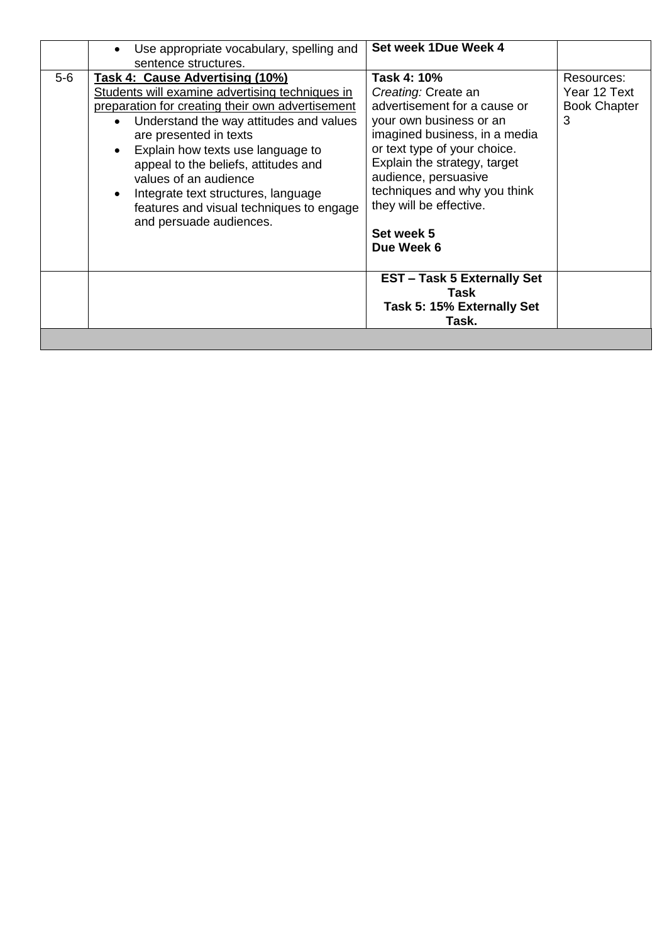|                                                                                                                                                                                                                                                                                                                                                                                                                                                                      | Use appropriate vocabulary, spelling and<br>$\bullet$<br>sentence structures. | Set week 1Due Week 4                                                                                                                                                                                                                                                                                          |                                                        |
|----------------------------------------------------------------------------------------------------------------------------------------------------------------------------------------------------------------------------------------------------------------------------------------------------------------------------------------------------------------------------------------------------------------------------------------------------------------------|-------------------------------------------------------------------------------|---------------------------------------------------------------------------------------------------------------------------------------------------------------------------------------------------------------------------------------------------------------------------------------------------------------|--------------------------------------------------------|
| $5-6$<br>Task 4: Cause Advertising (10%)<br>Students will examine advertising techniques in<br>preparation for creating their own advertisement<br>• Understand the way attitudes and values<br>are presented in texts<br>Explain how texts use language to<br>$\bullet$<br>appeal to the beliefs, attitudes and<br>values of an audience<br>Integrate text structures, language<br>$\bullet$<br>features and visual techniques to engage<br>and persuade audiences. |                                                                               | Task 4: 10%<br>Creating: Create an<br>advertisement for a cause or<br>your own business or an<br>imagined business, in a media<br>or text type of your choice.<br>Explain the strategy, target<br>audience, persuasive<br>techniques and why you think<br>they will be effective.<br>Set week 5<br>Due Week 6 | Resources:<br>Year 12 Text<br><b>Book Chapter</b><br>3 |
|                                                                                                                                                                                                                                                                                                                                                                                                                                                                      |                                                                               | <b>EST-Task 5 Externally Set</b><br>Task<br>Task 5: 15% Externally Set<br>Task.                                                                                                                                                                                                                               |                                                        |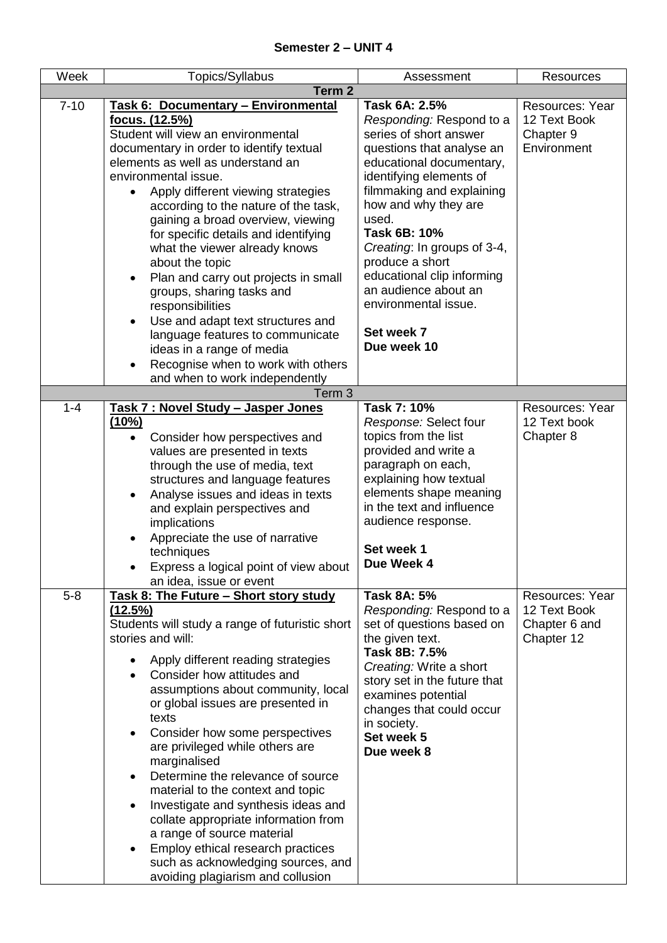| Week              | Topics/Syllabus                                                         | Assessment                                            | <b>Resources</b>                       |  |  |
|-------------------|-------------------------------------------------------------------------|-------------------------------------------------------|----------------------------------------|--|--|
| Term <sub>2</sub> |                                                                         |                                                       |                                        |  |  |
| $7 - 10$          | Task 6: Documentary - Environmental                                     | Task 6A: 2.5%                                         | Resources: Year                        |  |  |
|                   | <u>focus. (12.5%)</u>                                                   | Responding: Respond to a                              | 12 Text Book                           |  |  |
|                   | Student will view an environmental                                      | series of short answer                                | Chapter 9                              |  |  |
|                   | documentary in order to identify textual                                | questions that analyse an                             | Environment                            |  |  |
|                   | elements as well as understand an                                       | educational documentary,                              |                                        |  |  |
|                   | environmental issue.                                                    | identifying elements of                               |                                        |  |  |
|                   | Apply different viewing strategies                                      | filmmaking and explaining                             |                                        |  |  |
|                   | according to the nature of the task,                                    | how and why they are<br>used.                         |                                        |  |  |
|                   | gaining a broad overview, viewing                                       | Task 6B: 10%                                          |                                        |  |  |
|                   | for specific details and identifying<br>what the viewer already knows   | Creating: In groups of 3-4,                           |                                        |  |  |
|                   | about the topic                                                         | produce a short                                       |                                        |  |  |
|                   | Plan and carry out projects in small<br>$\bullet$                       | educational clip informing                            |                                        |  |  |
|                   | groups, sharing tasks and                                               | an audience about an                                  |                                        |  |  |
|                   | responsibilities                                                        | environmental issue.                                  |                                        |  |  |
|                   | Use and adapt text structures and                                       |                                                       |                                        |  |  |
|                   | language features to communicate                                        | Set week 7                                            |                                        |  |  |
|                   | ideas in a range of media                                               | Due week 10                                           |                                        |  |  |
|                   | Recognise when to work with others                                      |                                                       |                                        |  |  |
|                   | and when to work independently                                          |                                                       |                                        |  |  |
|                   | Term <sub>3</sub>                                                       |                                                       |                                        |  |  |
| $1 - 4$           | Task 7 : Novel Study - Jasper Jones<br>(10%)                            | Task 7: 10%<br>Response: Select four                  | <b>Resources: Year</b><br>12 Text book |  |  |
|                   | Consider how perspectives and<br>$\bullet$                              | topics from the list                                  | Chapter 8                              |  |  |
|                   | values are presented in texts                                           | provided and write a                                  |                                        |  |  |
|                   | through the use of media, text                                          | paragraph on each,                                    |                                        |  |  |
|                   | structures and language features                                        | explaining how textual                                |                                        |  |  |
|                   | Analyse issues and ideas in texts                                       | elements shape meaning                                |                                        |  |  |
|                   | and explain perspectives and                                            | in the text and influence                             |                                        |  |  |
|                   | implications                                                            | audience response.                                    |                                        |  |  |
|                   | Appreciate the use of narrative                                         |                                                       |                                        |  |  |
|                   | techniques                                                              | Set week 1                                            |                                        |  |  |
|                   | Express a logical point of view about                                   | Due Week 4                                            |                                        |  |  |
|                   | an idea, issue or event                                                 |                                                       |                                        |  |  |
| $5 - 8$           | Task 8: The Future - Short story study                                  | <b>Task 8A: 5%</b>                                    | <b>Resources: Year</b><br>12 Text Book |  |  |
|                   | <u>(12.5%)</u><br>Students will study a range of futuristic short       | Responding: Respond to a<br>set of questions based on | Chapter 6 and                          |  |  |
|                   | stories and will:                                                       | the given text.                                       | Chapter 12                             |  |  |
|                   |                                                                         | Task 8B: 7.5%                                         |                                        |  |  |
|                   | Apply different reading strategies                                      | Creating: Write a short                               |                                        |  |  |
|                   | Consider how attitudes and                                              | story set in the future that                          |                                        |  |  |
|                   | assumptions about community, local<br>or global issues are presented in | examines potential                                    |                                        |  |  |
|                   | texts                                                                   | changes that could occur                              |                                        |  |  |
|                   | Consider how some perspectives                                          | in society.                                           |                                        |  |  |
|                   | are privileged while others are                                         | Set week 5                                            |                                        |  |  |
|                   | marginalised                                                            | Due week 8                                            |                                        |  |  |
|                   | Determine the relevance of source                                       |                                                       |                                        |  |  |
|                   | material to the context and topic                                       |                                                       |                                        |  |  |
|                   | Investigate and synthesis ideas and<br>$\bullet$                        |                                                       |                                        |  |  |
|                   | collate appropriate information from                                    |                                                       |                                        |  |  |
|                   | a range of source material                                              |                                                       |                                        |  |  |
|                   | Employ ethical research practices                                       |                                                       |                                        |  |  |
|                   | such as acknowledging sources, and<br>avoiding plagiarism and collusion |                                                       |                                        |  |  |
|                   |                                                                         |                                                       |                                        |  |  |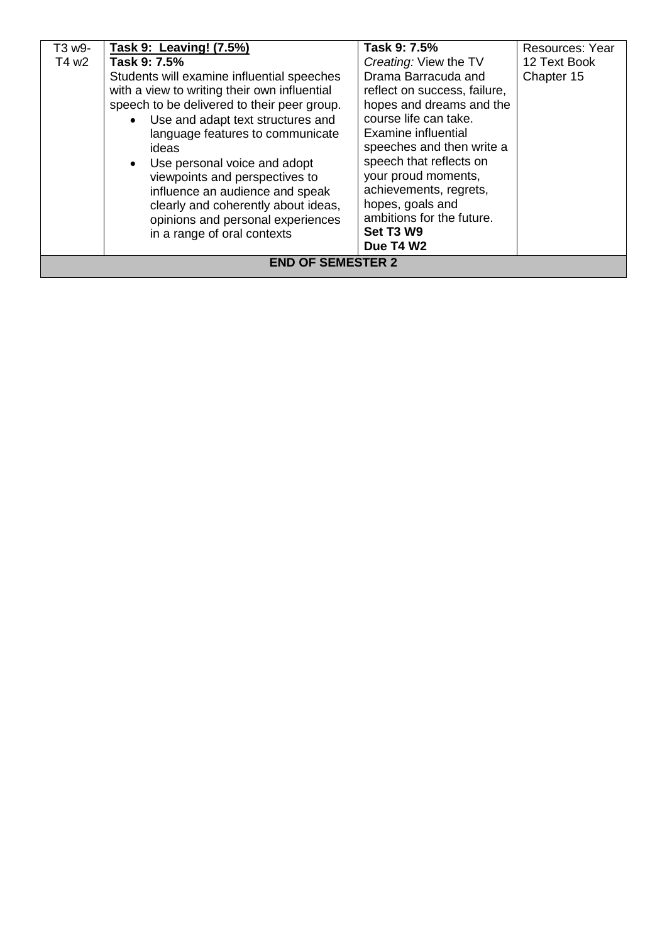| T3 w9-                   | Task 9: Leaving! (7.5%)                                                                                                                                                                                                                                                                                                              | Task 9: 7.5%                                                                                                                                                                                                                             | Resources: Year |
|--------------------------|--------------------------------------------------------------------------------------------------------------------------------------------------------------------------------------------------------------------------------------------------------------------------------------------------------------------------------------|------------------------------------------------------------------------------------------------------------------------------------------------------------------------------------------------------------------------------------------|-----------------|
| T4 w2                    | Task 9: 7.5%                                                                                                                                                                                                                                                                                                                         | Creating: View the TV                                                                                                                                                                                                                    | 12 Text Book    |
|                          | Students will examine influential speeches<br>with a view to writing their own influential<br>speech to be delivered to their peer group.<br>• Use and adapt text structures and<br>language features to communicate<br>ideas<br>• Use personal voice and adopt<br>viewpoints and perspectives to<br>influence an audience and speak | Drama Barracuda and<br>reflect on success, failure,<br>hopes and dreams and the<br>course life can take.<br>Examine influential<br>speeches and then write a<br>speech that reflects on<br>your proud moments,<br>achievements, regrets, | Chapter 15      |
|                          | clearly and coherently about ideas,<br>opinions and personal experiences<br>in a range of oral contexts                                                                                                                                                                                                                              | hopes, goals and<br>ambitions for the future.<br>Set T3 W9                                                                                                                                                                               |                 |
|                          |                                                                                                                                                                                                                                                                                                                                      | Due T4 W2                                                                                                                                                                                                                                |                 |
| <b>END OF SEMESTER 2</b> |                                                                                                                                                                                                                                                                                                                                      |                                                                                                                                                                                                                                          |                 |